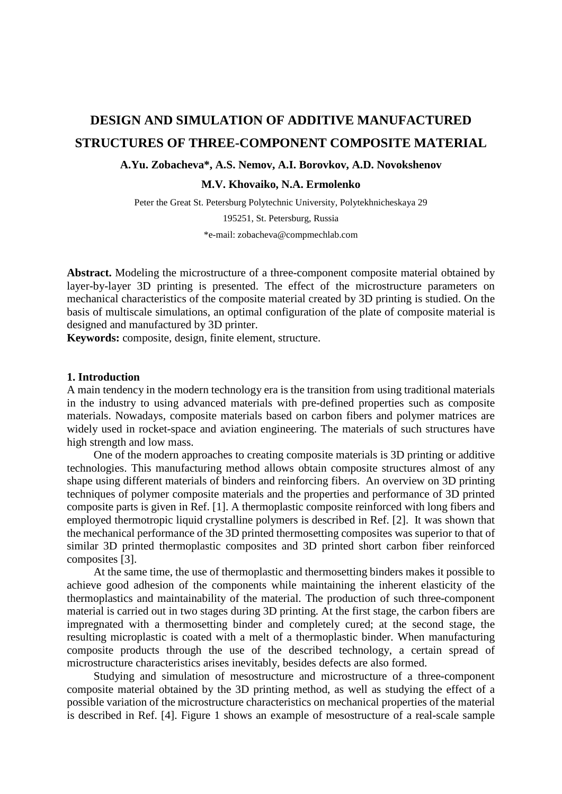# **DESIGN AND SIMULATION OF ADDITIVE MANUFACTURED STRUCTURES OF THREE-COMPONENT COMPOSITE MATERIAL**

## **A.Yu. Zobacheva\*, A.S. Nemov, A.I. Borovkov, A.D. Novokshenov**

**M.V. Khovaiko, N.A. Ermolenko** 

Peter the Great St. Petersburg Polytechnic University, Polytekhnicheskaya 29

195251, St. Petersburg, Russia

\*e-mail: zobacheva@compmechlab.com

**Abstract.** Modeling the microstructure of a three-component composite material obtained by layer-by-layer 3D printing is presented. The effect of the microstructure parameters on mechanical characteristics of the composite material created by 3D printing is studied. On the basis of multiscale simulations, an optimal configuration of the plate of composite material is designed and manufactured by 3D printer.

**Keywords:** composite, design, finite element, structure.

#### **1. Introduction**

A main tendency in the modern technology era is the transition from using traditional materials in the industry to using advanced materials with pre-defined properties such as composite materials. Nowadays, composite materials based on carbon fibers and polymer matrices are widely used in rocket-space and aviation engineering. The materials of such structures have high strength and low mass.

One of the modern approaches to creating composite materials is 3D printing or additive technologies. This manufacturing method allows obtain composite structures almost of any shape using different materials of binders and reinforcing fibers. An overview on 3D printing techniques of polymer composite materials and the properties and performance of 3D printed composite parts is given in Ref. [\[1\].](http://www.sciencedirect.com/science/article/pii/S0142941817314149#bib15) A thermoplastic composite reinforced with long fibers and employed thermotropic liquid crystalline polymers is described in Ref. [2]. It was shown that the mechanical performance of the 3D printed thermosetting composites was superior to that of similar 3D printed thermoplastic composites and 3D printed short carbon fiber reinforced composites [3].

At the same time, the use of thermoplastic and thermosetting binders makes it possible to achieve good adhesion of the components while maintaining the inherent elasticity of the thermoplastics and maintainability of the material. The production of such three-component material is carried out in two stages during 3D printing. At the first stage, the carbon fibers are impregnated with a thermosetting binder and completely cured; at the second stage, the resulting microplastic is coated with a melt of a thermoplastic binder. When manufacturing composite products through the use of the described technology, a certain spread of microstructure characteristics arises inevitably, besides defects are also formed.

Studying and simulation of mesostructure and microstructure of a three-component composite material obtained by the 3D printing method, as well as studying the effect of a possible variation of the microstructure characteristics on mechanical properties of the material is described in Ref. [4]. Figure 1 shows an example of mesostructure of a real-scale sample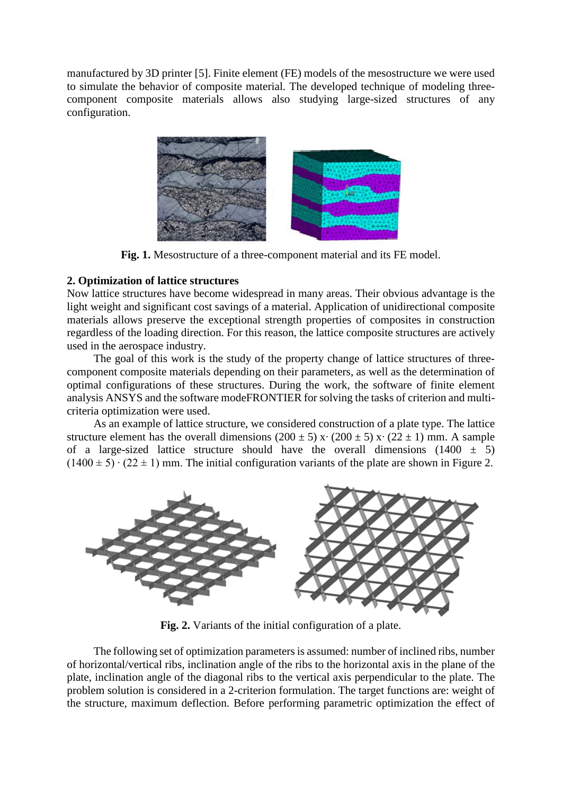manufactured by 3D printer [5]. Finite element (FE) models of the mesostructure we were used to simulate the behavior of composite material. The developed technique of modeling threecomponent composite materials allows also studying large-sized structures of any configuration.



**Fig. 1.** Mesostructure of a three-component material and its FE model.

## **2. Optimization of lattice structures**

Now lattice structures have become widespread in many areas. Their obvious advantage is the light weight and significant cost savings of a material. Application of unidirectional composite materials allows preserve the exceptional strength properties of composites in construction regardless of the loading direction. For this reason, the lattice composite structures are actively used in the aerospace industry.

The goal of this work is the study of the property change of lattice structures of threecomponent composite materials depending on their parameters, as well as the determination of optimal configurations of these structures. During the work, the software of finite element analysis ANSYS and the software modeFRONTIER for solving the tasks of criterion and multicriteria optimization were used.

As an example of lattice structure, we considered construction of a plate type. The lattice structure element has the overall dimensions (200 ± 5) x⋅ (200 ± 5) x⋅ (22 ± 1) mm. A sample of a large-sized lattice structure should have the overall dimensions (1400  $\pm$  5)  $(1400 \pm 5) \cdot (22 \pm 1)$  mm. The initial configuration variants of the plate are shown in Figure 2.



**Fig. 2.** Variants of the initial configuration of a plate.

The following set of optimization parameters is assumed: number of inclined ribs, number of horizontal/vertical ribs, inclination angle of the ribs to the horizontal axis in the plane of the plate, inclination angle of the diagonal ribs to the vertical axis perpendicular to the plate. The problem solution is considered in a 2-criterion formulation. The target functions are: weight of the structure, maximum deflection. Before performing parametric optimization the effect of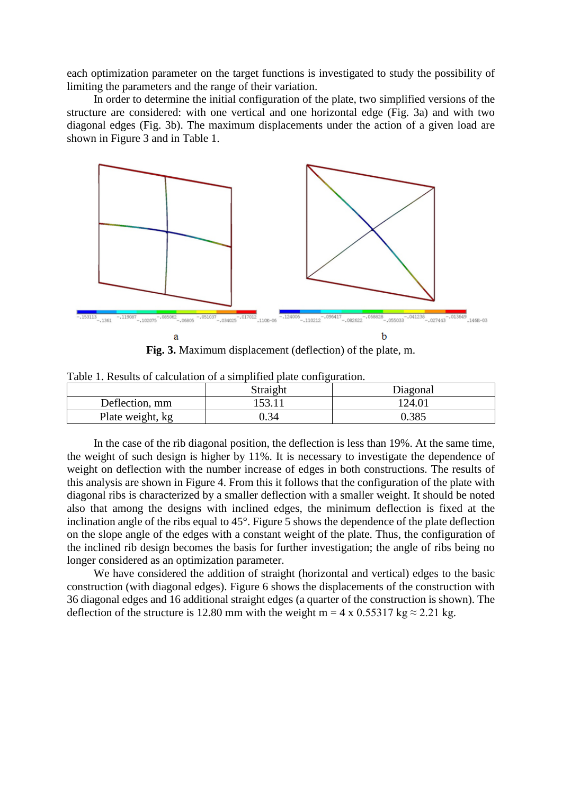each optimization parameter on the target functions is investigated to study the possibility of limiting the parameters and the range of their variation.

In order to determine the initial configuration of the plate, two simplified versions of the structure are considered: with one vertical and one horizontal edge (Fig. 3a) and with two diagonal edges (Fig. 3b). The maximum displacements under the action of a given load are shown in Figure 3 and in Table 1.



**Fig. 3.** Maximum displacement (deflection) of the plate, m.

|                  | Straight | Diagonal |
|------------------|----------|----------|
| Deflection, mm   | 53.11    | 124.01   |
| Plate weight, kg | .34      | J.385    |

Table 1. Results of calculation of a simplified plate configuration.

In the case of the rib diagonal position, the deflection is less than 19%. At the same time, the weight of such design is higher by 11%. It is necessary to investigate the dependence of weight on deflection with the number increase of edges in both constructions. The results of this analysis are shown in Figure 4. From this it follows that the configuration of the plate with diagonal ribs is characterized by a smaller deflection with a smaller weight. It should be noted also that among the designs with inclined edges, the minimum deflection is fixed at the inclination angle of the ribs equal to 45°. Figure 5 shows the dependence of the plate deflection on the slope angle of the edges with a constant weight of the plate. Thus, the configuration of the inclined rib design becomes the basis for further investigation; the angle of ribs being no longer considered as an optimization parameter.

We have considered the addition of straight (horizontal and vertical) edges to the basic construction (with diagonal edges). Figure 6 shows the displacements of the construction with 36 diagonal edges and 16 additional straight edges (a quarter of the construction is shown). The deflection of the structure is 12.80 mm with the weight m = 4 x 0.55317 kg  $\approx$  2.21 kg.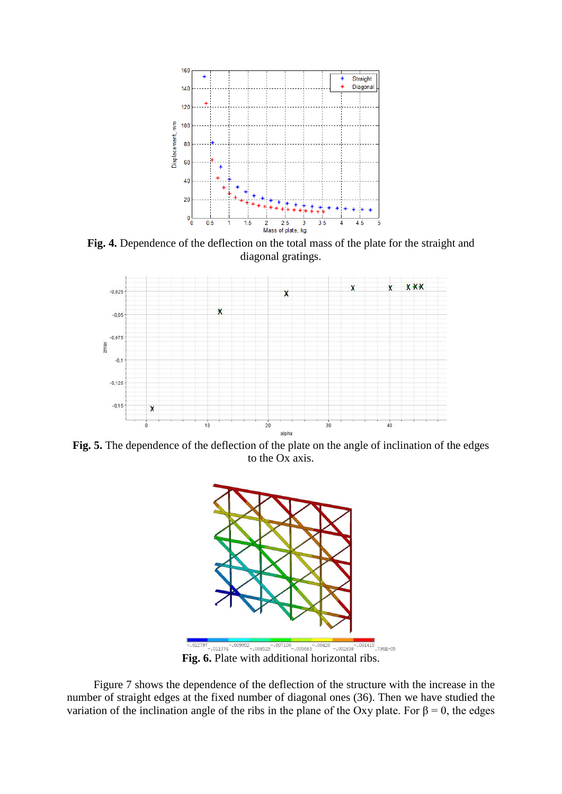

**Fig. 4.** Dependence of the deflection on the total mass of the plate for the straight and diagonal gratings.



**Fig. 5.** The dependence of the deflection of the plate on the angle of inclination of the edges to the Ox axis.



**Fig. 6.** Plate with additional horizontal ribs.

Figure 7 shows the dependence of the deflection of the structure with the increase in the number of straight edges at the fixed number of diagonal ones (36). Then we have studied the variation of the inclination angle of the ribs in the plane of the Oxy plate. For  $β = 0$ , the edges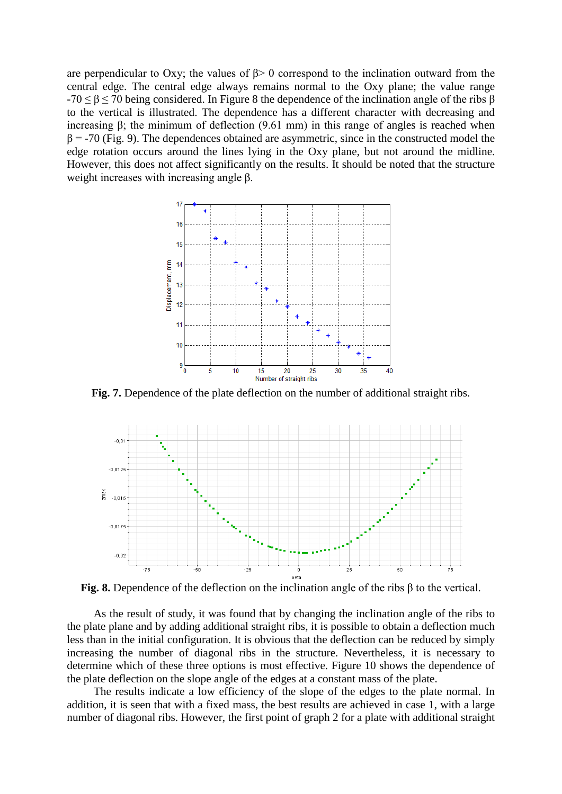are perpendicular to Oxy; the values of  $\beta$  of correspond to the inclination outward from the central edge. The central edge always remains normal to the Oxy plane; the value range  $-70 \le \beta \le 70$  being considered. In Figure 8 the dependence of the inclination angle of the ribs β to the vertical is illustrated. The dependence has a different character with decreasing and increasing β; the minimum of deflection  $(9.61 \text{ mm})$  in this range of angles is reached when  $\beta$  = -70 (Fig. 9). The dependences obtained are asymmetric, since in the constructed model the edge rotation occurs around the lines lying in the Oxy plane, but not around the midline. However, this does not affect significantly on the results. It should be noted that the structure weight increases with increasing angle  $β$ .



**Fig. 7.** Dependence of the plate deflection on the number of additional straight ribs.



**Fig. 8.** Dependence of the deflection on the inclination angle of the ribs β to the vertical.

As the result of study, it was found that by changing the inclination angle of the ribs to the plate plane and by adding additional straight ribs, it is possible to obtain a deflection much less than in the initial configuration. It is obvious that the deflection can be reduced by simply increasing the number of diagonal ribs in the structure. Nevertheless, it is necessary to determine which of these three options is most effective. Figure 10 shows the dependence of the plate deflection on the slope angle of the edges at a constant mass of the plate.

The results indicate a low efficiency of the slope of the edges to the plate normal. In addition, it is seen that with a fixed mass, the best results are achieved in case 1, with a large number of diagonal ribs. However, the first point of graph 2 for a plate with additional straight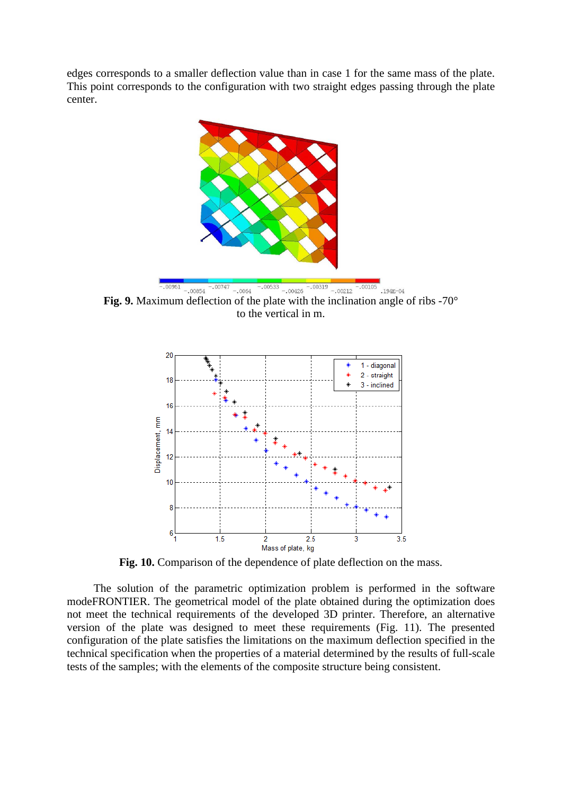edges corresponds to a smaller deflection value than in case 1 for the same mass of the plate. This point corresponds to the configuration with two straight edges passing through the plate center.



**Fig. 9.** Maximum deflection of the plate with the inclination angle of ribs -70° to the vertical in m.



Fig. 10. Comparison of the dependence of plate deflection on the mass.

The solution of the parametric optimization problem is performed in the software modeFRONTIER. The geometrical model of the plate obtained during the optimization does not meet the technical requirements of the developed 3D printer. Therefore, an alternative version of the plate was designed to meet these requirements (Fig. 11). The presented configuration of the plate satisfies the limitations on the maximum deflection specified in the technical specification when the properties of a material determined by the results of full-scale tests of the samples; with the elements of the composite structure being consistent.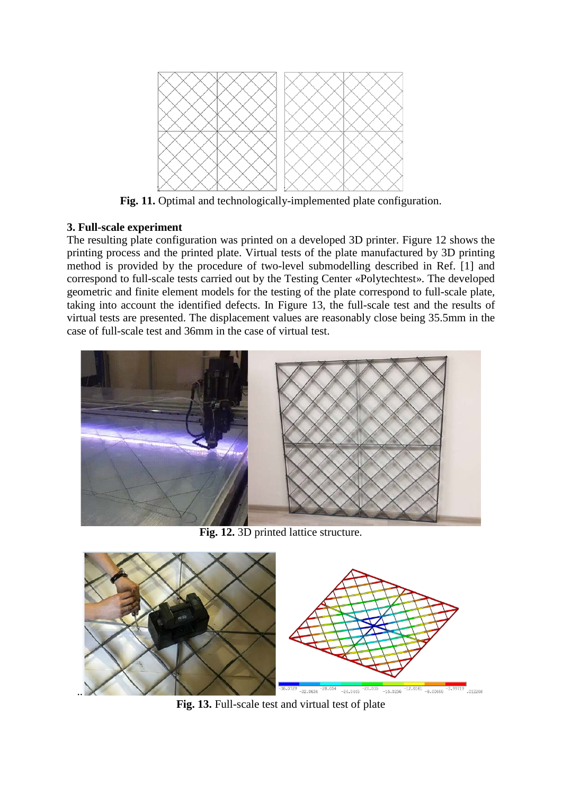

**Fig. 11.** Optimal and technologically-implemented plate configuration.

### **3. Full-scale experiment**

The resulting plate configuration was printed on a developed 3D printer. Figure 12 shows the printing process and the printed plate. Virtual tests of the plate manufactured by 3D printing method is provided by the procedure of two-level submodelling described in Ref. [1] and correspond to full-scale tests carried out by the Testing Center «Polytechtest». The developed geometric and finite element models for the testing of the plate correspond to full-scale plate, taking into account the identified defects. In Figure 13, the full-scale test and the results of virtual tests are presented. The displacement values are reasonably close being 35.5mm in the case of full-scale test and 36mm in the case of virtual test.



**Fig. 12.** 3D printed lattice structure.



**Fig. 13.** Full-scale test and virtual test of plate